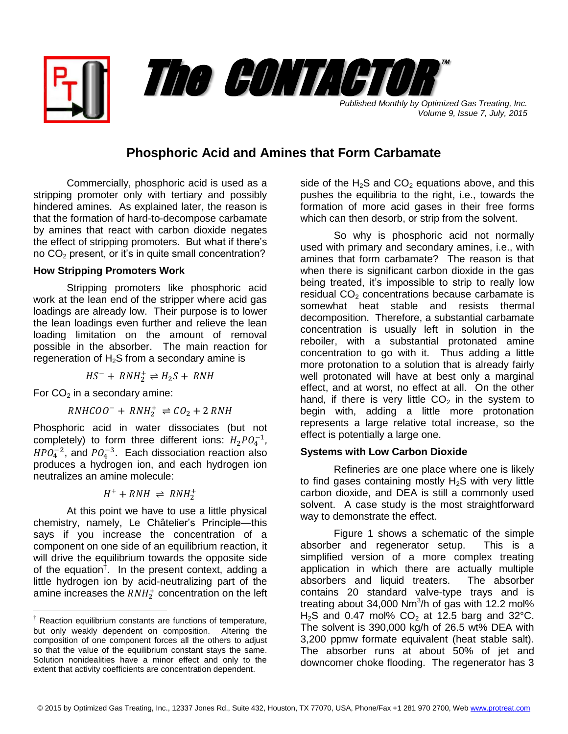

*Volume 9, Issue 7, July, 2015*

## **Phosphoric Acid and Amines that Form Carbamate**

Commercially, phosphoric acid is used as a stripping promoter only with tertiary and possibly hindered amines. As explained later, the reason is that the formation of hard-to-decompose carbamate by amines that react with carbon dioxide negates the effect of stripping promoters. But what if there's no  $CO<sub>2</sub>$  present, or it's in quite small concentration?

## **How Stripping Promoters Work**

Stripping promoters like phosphoric acid work at the lean end of the stripper where acid gas loadings are already low. Their purpose is to lower the lean loadings even further and relieve the lean loading limitation on the amount of removal possible in the absorber. The main reaction for regeneration of  $H_2S$  from a secondary amine is

$$
HS^- + RNH_2^+ \rightleftharpoons H_2S + RNH
$$

For  $CO<sub>2</sub>$  in a secondary amine:

 $\overline{a}$ 

$$
RNHCOO^{-} + RNH_{2}^{+} \rightleftharpoons CO_{2} + 2 RNH
$$

Phosphoric acid in water dissociates (but not completely) to form three different ions:  $H_2PO_4^{-1}$ ,  $HPO_4^{-2}$ , and  $PO_4^{-3}$ . Each dissociation reaction also produces a hydrogen ion, and each hydrogen ion neutralizes an amine molecule:

$$
H^+ + RNH \ \rightleftharpoons \, RNH_2^+
$$

At this point we have to use a little physical chemistry, namely, Le Châtelier's Principle—this says if you increase the concentration of a component on one side of an equilibrium reaction, it will drive the equilibrium towards the opposite side of the equation<sup>†</sup>. In the present context, adding a little hydrogen ion by acid-neutralizing part of the amine increases the  $RNH_2^+$  concentration on the left side of the  $H_2S$  and  $CO_2$  equations above, and this pushes the equilibria to the right, i.e., towards the formation of more acid gases in their free forms which can then desorb, or strip from the solvent.

So why is phosphoric acid not normally used with primary and secondary amines, i.e., with amines that form carbamate? The reason is that when there is significant carbon dioxide in the gas being treated, it's impossible to strip to really low residual  $CO<sub>2</sub>$  concentrations because carbamate is somewhat heat stable and resists thermal decomposition. Therefore, a substantial carbamate concentration is usually left in solution in the reboiler, with a substantial protonated amine concentration to go with it. Thus adding a little more protonation to a solution that is already fairly well protonated will have at best only a marginal effect, and at worst, no effect at all. On the other hand, if there is very little  $CO<sub>2</sub>$  in the system to begin with, adding a little more protonation represents a large relative total increase, so the effect is potentially a large one.

## **Systems with Low Carbon Dioxide**

Refineries are one place where one is likely to find gases containing mostly  $H_2S$  with very little carbon dioxide, and DEA is still a commonly used solvent. A case study is the most straightforward way to demonstrate the effect.

Figure 1 shows a schematic of the simple absorber and regenerator setup. This is a simplified version of a more complex treating application in which there are actually multiple absorbers and liquid treaters. The absorber contains 20 standard valve-type trays and is treating about 34,000 Nm<sup>3</sup>/h of gas with 12.2 mol% H<sub>2</sub>S and 0.47 mol%  $CO<sub>2</sub>$  at 12.5 barg and 32°C. The solvent is 390,000 kg/h of 26.5 wt% DEA with 3,200 ppmw formate equivalent (heat stable salt). The absorber runs at about 50% of jet and downcomer choke flooding. The regenerator has 3

 $\dagger$  Reaction equilibrium constants are functions of temperature, but only weakly dependent on composition. Altering the composition of one component forces all the others to adjust so that the value of the equilibrium constant stays the same. Solution nonidealities have a minor effect and only to the extent that activity coefficients are concentration dependent.